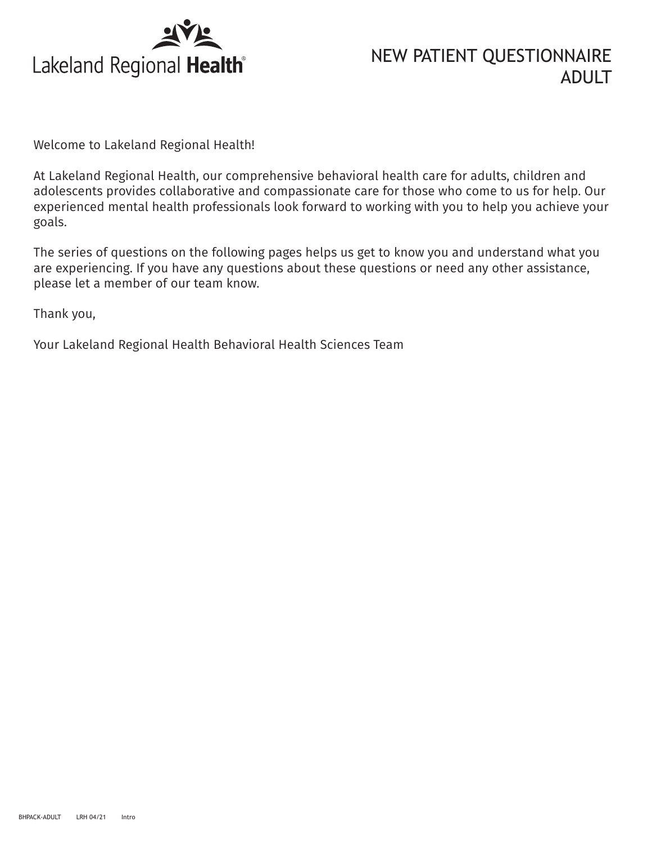

## NEW PATIENT QUESTIONNAIRE ADULT

Welcome to Lakeland Regional Health!

At Lakeland Regional Health, our comprehensive behavioral health care for adults, children and adolescents provides collaborative and compassionate care for those who come to us for help. Our experienced mental health professionals look forward to working with you to help you achieve your goals.

The series of questions on the following pages helps us get to know you and understand what you are experiencing. If you have any questions about these questions or need any other assistance, please let a member of our team know.

Thank you,

Your Lakeland Regional Health Behavioral Health Sciences Team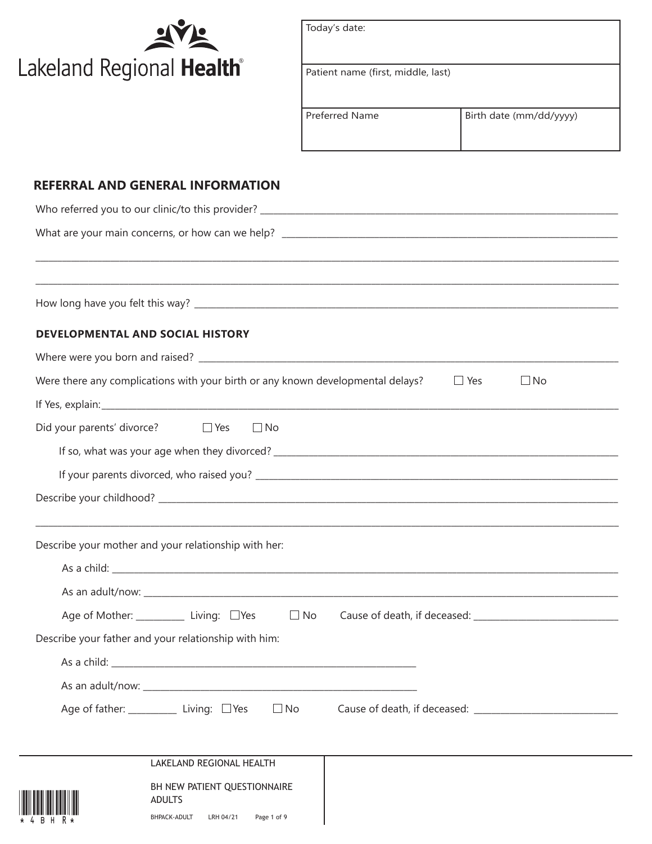

| Today's date:                      |                         |
|------------------------------------|-------------------------|
| Patient name (first, middle, last) |                         |
| <b>Preferred Name</b>              | Birth date (mm/dd/yyyy) |

## **REFERRAL AND GENERAL INFORMATION**

| <b>DEVELOPMENTAL AND SOCIAL HISTORY</b>                                         |                                                                                                                                                                                                                                      |
|---------------------------------------------------------------------------------|--------------------------------------------------------------------------------------------------------------------------------------------------------------------------------------------------------------------------------------|
|                                                                                 |                                                                                                                                                                                                                                      |
| Were there any complications with your birth or any known developmental delays? | $\Box$ Yes<br>$\square$ No                                                                                                                                                                                                           |
|                                                                                 |                                                                                                                                                                                                                                      |
| Did your parents' divorce? □ Yes<br>$\Box$ No                                   |                                                                                                                                                                                                                                      |
|                                                                                 |                                                                                                                                                                                                                                      |
|                                                                                 |                                                                                                                                                                                                                                      |
|                                                                                 |                                                                                                                                                                                                                                      |
|                                                                                 |                                                                                                                                                                                                                                      |
| Describe your mother and your relationship with her:                            |                                                                                                                                                                                                                                      |
|                                                                                 |                                                                                                                                                                                                                                      |
|                                                                                 |                                                                                                                                                                                                                                      |
| Age of Mother: _____________ Living: □Yes<br>$\Box$ No                          |                                                                                                                                                                                                                                      |
| Describe your father and your relationship with him:                            |                                                                                                                                                                                                                                      |
|                                                                                 |                                                                                                                                                                                                                                      |
|                                                                                 |                                                                                                                                                                                                                                      |
| Age of father: _____________ Living: □ Yes<br>$\Box$ No                         | Cause of death, if deceased: <b>cause of the set of the set of the set of the set of the set of the set of the set of the set of the set of the set of the set of the set of the set of the set of the set of the set of the set</b> |
|                                                                                 |                                                                                                                                                                                                                                      |
| LAKELAND REGIONAL HEALTH                                                        |                                                                                                                                                                                                                                      |
| BH NEW PATIENT QUESTIONNAIRE                                                    |                                                                                                                                                                                                                                      |
| <b>BHPACK-ADULT</b><br>LRH 04/21<br>Page 1 of 9                                 |                                                                                                                                                                                                                                      |
|                                                                                 | <b>ADULTS</b>                                                                                                                                                                                                                        |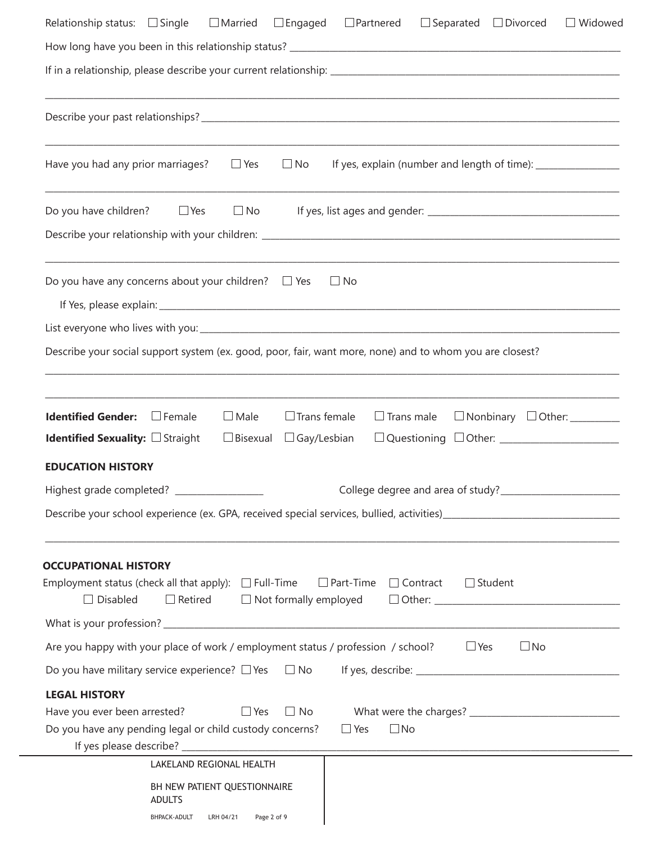| $\Box$ Separated $\Box$ Divorced<br>Relationship status: $\Box$ Single<br>$\Box$ Married<br>$\square$ Engaged<br>$\Box$ Partnered<br>$\Box$ Widowed                                                                                   |
|---------------------------------------------------------------------------------------------------------------------------------------------------------------------------------------------------------------------------------------|
|                                                                                                                                                                                                                                       |
|                                                                                                                                                                                                                                       |
|                                                                                                                                                                                                                                       |
|                                                                                                                                                                                                                                       |
| ,我们也不能在这里的人,我们也不能在这里的人,我们也不能在这里的人,我们也不能在这里的人,我们也不能在这里的人,我们也不能在这里的人,我们也不能在这里的人,我们也<br>If yes, explain (number and length of time): ___________________________________<br>Have you had any prior marriages?<br>$\Box$ Yes<br>$\Box$ No |
| $\Box$ No<br>Do you have children? $\Box$ Yes                                                                                                                                                                                         |
|                                                                                                                                                                                                                                       |
| Do you have any concerns about your children? $\Box$ Yes<br>$\Box$ No                                                                                                                                                                 |
|                                                                                                                                                                                                                                       |
|                                                                                                                                                                                                                                       |
| Describe your social support system (ex. good, poor, fair, want more, none) and to whom you are closest?                                                                                                                              |
|                                                                                                                                                                                                                                       |
| <u> 1989 - Johann Harry Harry Harry Harry Harry Harry Harry Harry Harry Harry Harry Harry Harry Harry Harry Harry</u><br><b>Identified Gender:</b> Female<br>$\Box$ Male<br>$\Box$ Trans female<br>$\Box$ Trans male                  |
| $\Box$ Bisexual<br><b>Identified Sexuality:</b> $\Box$ Straight<br>$\Box$ Gay/Lesbian                                                                                                                                                 |
| <b>EDUCATION HISTORY</b>                                                                                                                                                                                                              |
| College degree and area of study?___                                                                                                                                                                                                  |
|                                                                                                                                                                                                                                       |
|                                                                                                                                                                                                                                       |
| <b>OCCUPATIONAL HISTORY</b><br>Employment status (check all that apply): $\Box$ Full-Time<br>$\Box$ Part-Time<br>$\Box$ Contract<br>$\Box$ Student<br>$\Box$ Disabled<br>$\Box$ Retired $\Box$ Not formally employed                  |
|                                                                                                                                                                                                                                       |
| Are you happy with your place of work / employment status / profession / school?<br>$\Box$ Yes<br>$\square$ No                                                                                                                        |
| Do you have military service experience? $\Box$ Yes $\Box$ No                                                                                                                                                                         |
| <b>LEGAL HISTORY</b><br>$\Box$ Yes<br>$\Box$ No<br>Have you ever been arrested?<br>Do you have any pending legal or child custody concerns?<br>$\Box$ No<br>$\Box$ Yes                                                                |
| LAKELAND REGIONAL HEALTH                                                                                                                                                                                                              |
| BH NEW PATIENT QUESTIONNAIRE<br><b>ADULTS</b><br>Page 2 of 9<br>BHPACK-ADULT<br>LRH 04/21                                                                                                                                             |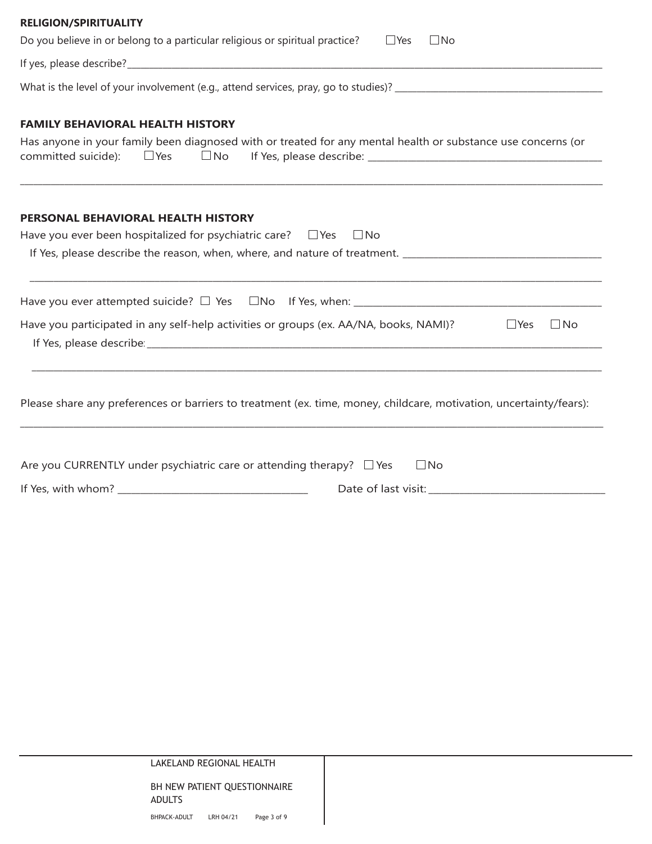| <b>RELIGION/SPIRITUALITY</b><br>Do you believe in or belong to a particular religious or spiritual practice?<br>$\Box$ No<br>$\Box$ Yes                 |
|---------------------------------------------------------------------------------------------------------------------------------------------------------|
|                                                                                                                                                         |
|                                                                                                                                                         |
| <b>FAMILY BEHAVIORAL HEALTH HISTORY</b><br>Has anyone in your family been diagnosed with or treated for any mental health or substance use concerns (or |
| PERSONAL BEHAVIORAL HEALTH HISTORY<br>Have you ever been hospitalized for psychiatric care? $\Box$ Yes<br>$\Box$ No                                     |
|                                                                                                                                                         |
|                                                                                                                                                         |
| Have you participated in any self-help activities or groups (ex. AA/NA, books, NAMI)?<br>$\Box$ No<br>$\Box$ Yes                                        |
| Please share any preferences or barriers to treatment (ex. time, money, childcare, motivation, uncertainty/fears):                                      |
| Are you CURRENTLY under psychiatric care or attending therapy? $\Box$ Yes<br>$\Box$ No                                                                  |
| If Yes, with whom? _<br>Date of last visit:                                                                                                             |

| LAKELAND REGIONAL HEALTH |  |
|--------------------------|--|
|                          |  |

BH NEW PATIENT QUESTIONNAIRE ADULTS BHPACK-ADULT LRH 04/21 Page 3 of 9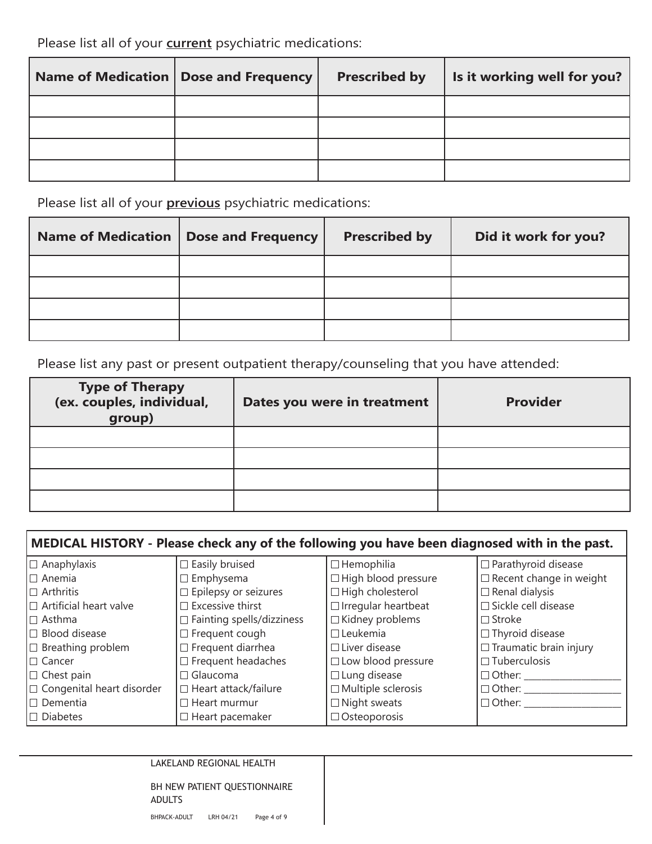Please list all of your **current** psychiatric medications:

| Name of Medication   Dose and Frequency | <b>Prescribed by</b> | Is it working well for you? |
|-----------------------------------------|----------------------|-----------------------------|
|                                         |                      |                             |
|                                         |                      |                             |
|                                         |                      |                             |
|                                         |                      |                             |

Please list all of your **previous** psychiatric medications:

| <b>Name of Medication</b> | <b>Dose and Frequency</b> | <b>Prescribed by</b> | Did it work for you? |
|---------------------------|---------------------------|----------------------|----------------------|
|                           |                           |                      |                      |
|                           |                           |                      |                      |
|                           |                           |                      |                      |
|                           |                           |                      |                      |

Please list any past or present outpatient therapy/counseling that you have attended:

| <b>Type of Therapy</b><br>(ex. couples, individual,<br>group) | Dates you were in treatment | <b>Provider</b> |
|---------------------------------------------------------------|-----------------------------|-----------------|
|                                                               |                             |                 |
|                                                               |                             |                 |
|                                                               |                             |                 |
|                                                               |                             |                 |

| MEDICAL HISTORY - Please check any of the following you have been diagnosed with in the past. |                                  |                            |                                |  |
|-----------------------------------------------------------------------------------------------|----------------------------------|----------------------------|--------------------------------|--|
| $\Box$ Anaphylaxis                                                                            | $\square$ Easily bruised         | $\Box$ Hemophilia          | $\Box$ Parathyroid disease     |  |
| $\Box$ Anemia                                                                                 | $\Box$ Emphysema                 | □ High blood pressure      | $\Box$ Recent change in weight |  |
| $\Box$ Arthritis                                                                              | $\Box$ Epilepsy or seizures      | $\Box$ High cholesterol    | $\Box$ Renal dialysis          |  |
| $\Box$ Artificial heart valve                                                                 | $\Box$ Excessive thirst          | $\Box$ Irregular heartbeat | □ Sickle cell disease          |  |
| $\Box$ Asthma                                                                                 | $\Box$ Fainting spells/dizziness | $\Box$ Kidney problems     | $\Box$ Stroke                  |  |
| $\Box$ Blood disease                                                                          | $\Box$ Frequent cough            | $\Box$ Leukemia            | $\Box$ Thyroid disease         |  |
| $\Box$ Breathing problem                                                                      | $\Box$ Frequent diarrhea         | $\Box$ Liver disease       | $\Box$ Traumatic brain injury  |  |
| $\Box$ Cancer                                                                                 | $\Box$ Frequent headaches        | □ Low blood pressure       | $\Box$ Tuberculosis            |  |
| $\Box$ Chest pain                                                                             | $\Box$ Glaucoma                  | $\Box$ Lung disease        | $\Box$ Other:                  |  |
| $\Box$ Congenital heart disorder                                                              | $\Box$ Heart attack/failure      | $\Box$ Multiple sclerosis  | $\Box$ Other:                  |  |
| $\Box$ Dementia                                                                               | $\Box$ Heart murmur              | $\Box$ Night sweats        | $\Box$ Other:                  |  |
| $\Box$ Diabetes                                                                               | $\Box$ Heart pacemaker           | $\Box$ Osteoporosis        |                                |  |

| LAKELAND REGIONAL HEALTH |  |  |
|--------------------------|--|--|
|--------------------------|--|--|

BH NEW PATIENT QUESTIONNAIRE ADULTS BHPACK-ADULT LRH 04/21 Page 4 of 9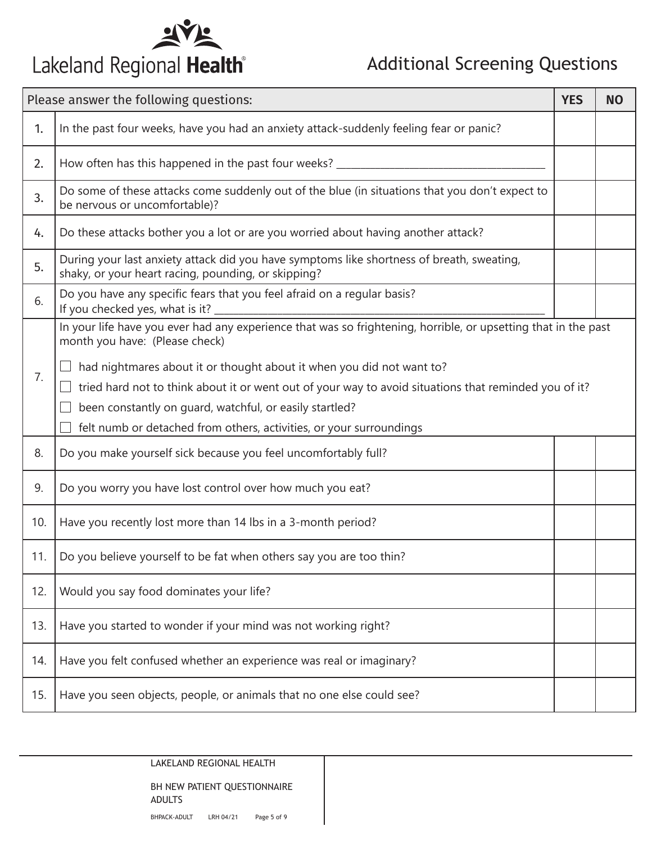

## Additional Screening Questions

| Please answer the following questions: |                                                                                                                                                                                                                                                                                                                  | <b>YES</b> | <b>NO</b> |
|----------------------------------------|------------------------------------------------------------------------------------------------------------------------------------------------------------------------------------------------------------------------------------------------------------------------------------------------------------------|------------|-----------|
| 1.                                     | In the past four weeks, have you had an anxiety attack-suddenly feeling fear or panic?                                                                                                                                                                                                                           |            |           |
| 2.                                     | How often has this happened in the past four weeks? __________                                                                                                                                                                                                                                                   |            |           |
| 3.                                     | Do some of these attacks come suddenly out of the blue (in situations that you don't expect to<br>be nervous or uncomfortable)?                                                                                                                                                                                  |            |           |
| 4.                                     | Do these attacks bother you a lot or are you worried about having another attack?                                                                                                                                                                                                                                |            |           |
| 5.                                     | During your last anxiety attack did you have symptoms like shortness of breath, sweating,<br>shaky, or your heart racing, pounding, or skipping?                                                                                                                                                                 |            |           |
| 6.                                     | Do you have any specific fears that you feel afraid on a regular basis?<br>If you checked yes, what is it? _                                                                                                                                                                                                     |            |           |
|                                        | In your life have you ever had any experience that was so frightening, horrible, or upsetting that in the past<br>month you have: (Please check)                                                                                                                                                                 |            |           |
| 7.                                     | had nightmares about it or thought about it when you did not want to?<br>tried hard not to think about it or went out of your way to avoid situations that reminded you of it?<br>been constantly on guard, watchful, or easily startled?<br>felt numb or detached from others, activities, or your surroundings |            |           |
| 8.                                     | Do you make yourself sick because you feel uncomfortably full?                                                                                                                                                                                                                                                   |            |           |
| 9.                                     | Do you worry you have lost control over how much you eat?                                                                                                                                                                                                                                                        |            |           |
| 10.                                    | Have you recently lost more than 14 lbs in a 3-month period?                                                                                                                                                                                                                                                     |            |           |
| 11.                                    | Do you believe yourself to be fat when others say you are too thin?                                                                                                                                                                                                                                              |            |           |
| 12.                                    | Would you say food dominates your life?                                                                                                                                                                                                                                                                          |            |           |
| 13.                                    | Have you started to wonder if your mind was not working right?                                                                                                                                                                                                                                                   |            |           |
| 14.                                    | Have you felt confused whether an experience was real or imaginary?                                                                                                                                                                                                                                              |            |           |
| 15.                                    | Have you seen objects, people, or animals that no one else could see?                                                                                                                                                                                                                                            |            |           |

LAKELAND REGIONAL HEALTH

BH NEW PATIENT QUESTIONNAIRE ADULTS BHPACK-ADULT LRH 04/21 Page 5 of 9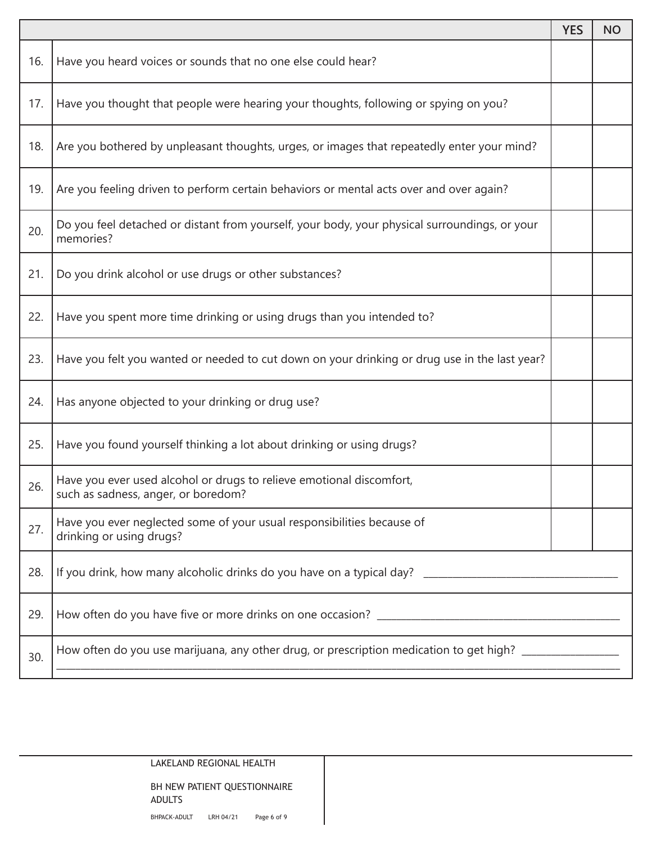|     |                                                                                                             | <b>YES</b> | <b>NO</b> |
|-----|-------------------------------------------------------------------------------------------------------------|------------|-----------|
| 16. | Have you heard voices or sounds that no one else could hear?                                                |            |           |
| 17. | Have you thought that people were hearing your thoughts, following or spying on you?                        |            |           |
| 18. | Are you bothered by unpleasant thoughts, urges, or images that repeatedly enter your mind?                  |            |           |
| 19. | Are you feeling driven to perform certain behaviors or mental acts over and over again?                     |            |           |
| 20. | Do you feel detached or distant from yourself, your body, your physical surroundings, or your<br>memories?  |            |           |
| 21. | Do you drink alcohol or use drugs or other substances?                                                      |            |           |
| 22. | Have you spent more time drinking or using drugs than you intended to?                                      |            |           |
| 23. | Have you felt you wanted or needed to cut down on your drinking or drug use in the last year?               |            |           |
| 24. | Has anyone objected to your drinking or drug use?                                                           |            |           |
| 25. | Have you found yourself thinking a lot about drinking or using drugs?                                       |            |           |
| 26. | Have you ever used alcohol or drugs to relieve emotional discomfort,<br>such as sadness, anger, or boredom? |            |           |
| 27. | Have you ever neglected some of your usual responsibilities because of<br>drinking or using drugs?          |            |           |
| 28. |                                                                                                             |            |           |
| 29. |                                                                                                             |            |           |
| 30. | How often do you use marijuana, any other drug, or prescription medication to get high? __________________  |            |           |

LAKELAND REGIONAL HEALTH BH NEW PATIENT QUESTIONNAIRE ADULTS BHPACK-ADULT LRH 04/21 Page 6 of 9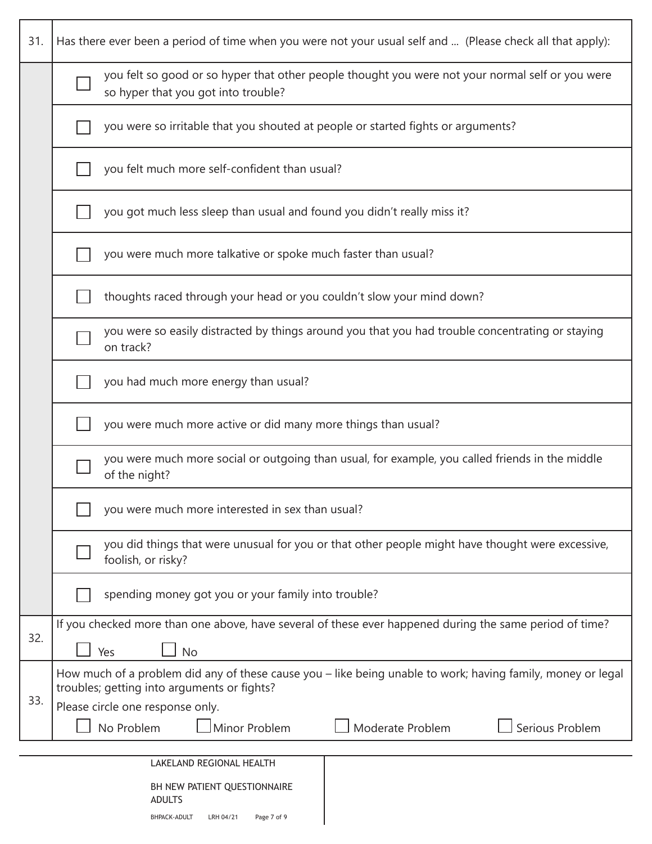| 31.                                                           | Has there ever been a period of time when you were not your usual self and  (Please check all that apply):                                                 |  |  |  |  |  |  |  |  |  |
|---------------------------------------------------------------|------------------------------------------------------------------------------------------------------------------------------------------------------------|--|--|--|--|--|--|--|--|--|
|                                                               | you felt so good or so hyper that other people thought you were not your normal self or you were<br>so hyper that you got into trouble?                    |  |  |  |  |  |  |  |  |  |
|                                                               | you were so irritable that you shouted at people or started fights or arguments?                                                                           |  |  |  |  |  |  |  |  |  |
|                                                               | you felt much more self-confident than usual?                                                                                                              |  |  |  |  |  |  |  |  |  |
|                                                               | you got much less sleep than usual and found you didn't really miss it?                                                                                    |  |  |  |  |  |  |  |  |  |
| you were much more talkative or spoke much faster than usual? |                                                                                                                                                            |  |  |  |  |  |  |  |  |  |
|                                                               | thoughts raced through your head or you couldn't slow your mind down?                                                                                      |  |  |  |  |  |  |  |  |  |
|                                                               | you were so easily distracted by things around you that you had trouble concentrating or staying<br>on track?                                              |  |  |  |  |  |  |  |  |  |
|                                                               | you had much more energy than usual?                                                                                                                       |  |  |  |  |  |  |  |  |  |
|                                                               | you were much more active or did many more things than usual?                                                                                              |  |  |  |  |  |  |  |  |  |
|                                                               | you were much more social or outgoing than usual, for example, you called friends in the middle<br>of the night?                                           |  |  |  |  |  |  |  |  |  |
|                                                               | you were much more interested in sex than usual?                                                                                                           |  |  |  |  |  |  |  |  |  |
|                                                               | you did things that were unusual for you or that other people might have thought were excessive,<br>foolish, or risky?                                     |  |  |  |  |  |  |  |  |  |
|                                                               | spending money got you or your family into trouble?                                                                                                        |  |  |  |  |  |  |  |  |  |
| 32.                                                           | If you checked more than one above, have several of these ever happened during the same period of time?<br><b>No</b><br>Yes                                |  |  |  |  |  |  |  |  |  |
|                                                               | How much of a problem did any of these cause you – like being unable to work; having family, money or legal<br>troubles; getting into arguments or fights? |  |  |  |  |  |  |  |  |  |
| 33.                                                           | Please circle one response only.                                                                                                                           |  |  |  |  |  |  |  |  |  |
|                                                               | No Problem<br>Minor Problem<br>Moderate Problem<br>Serious Problem                                                                                         |  |  |  |  |  |  |  |  |  |
|                                                               | LAKELAND REGIONAL HEALTH                                                                                                                                   |  |  |  |  |  |  |  |  |  |
|                                                               |                                                                                                                                                            |  |  |  |  |  |  |  |  |  |
|                                                               | BH NEW PATIENT QUESTIONNAIRE<br><b>ADULTS</b>                                                                                                              |  |  |  |  |  |  |  |  |  |

 $\overline{\phantom{a}}$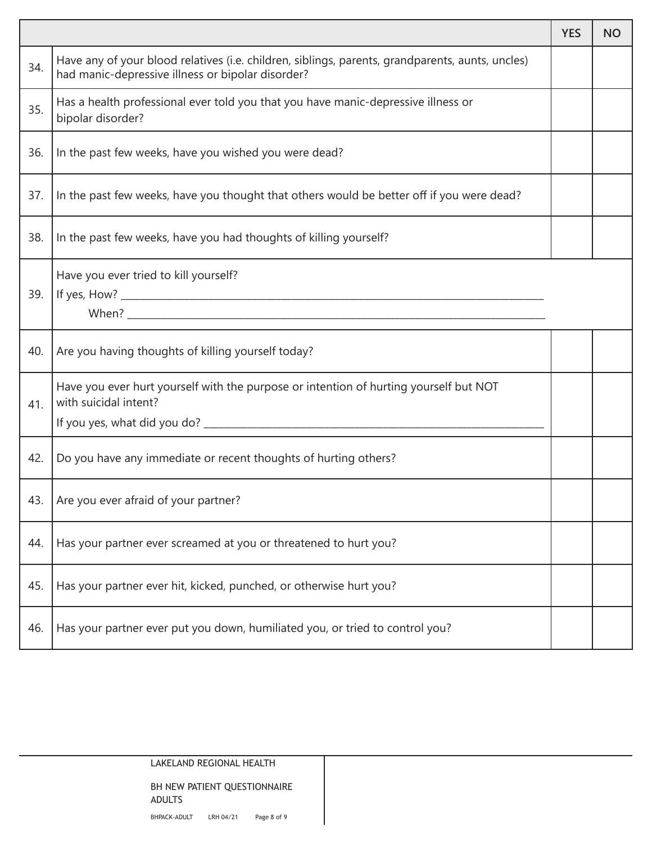|     |                                                                                                                                                       | <b>YES</b> | <b>NO</b> |  |  |  |
|-----|-------------------------------------------------------------------------------------------------------------------------------------------------------|------------|-----------|--|--|--|
| 34. | Have any of your blood relatives (i.e. children, siblings, parents, grandparents, aunts, uncles)<br>had manic-depressive illness or bipolar disorder? |            |           |  |  |  |
| 35. | Has a health professional ever told you that you have manic-depressive illness or<br>bipolar disorder?                                                |            |           |  |  |  |
| 36. | In the past few weeks, have you wished you were dead?                                                                                                 |            |           |  |  |  |
| 37. | In the past few weeks, have you thought that others would be better off if you were dead?                                                             |            |           |  |  |  |
| 38. | In the past few weeks, have you had thoughts of killing yourself?                                                                                     |            |           |  |  |  |
| 39. | Have you ever tried to kill yourself?                                                                                                                 |            |           |  |  |  |
| 40. | Are you having thoughts of killing yourself today?                                                                                                    |            |           |  |  |  |
| 41. | Have you ever hurt yourself with the purpose or intention of hurting yourself but NOT<br>with suicidal intent?                                        |            |           |  |  |  |
| 42. | Do you have any immediate or recent thoughts of hurting others?                                                                                       |            |           |  |  |  |
| 43. | Are you ever afraid of your partner?                                                                                                                  |            |           |  |  |  |
| 44. | Has your partner ever screamed at you or threatened to hurt you?                                                                                      |            |           |  |  |  |
| 45. | Has your partner ever hit, kicked, punched, or otherwise hurt you?                                                                                    |            |           |  |  |  |
| 46. | Has your partner ever put you down, humiliated you, or tried to control you?                                                                          |            |           |  |  |  |

Ŧ.

LAKELAND REGIONAL HEALTH

BH NEW PATIENT QUESTIONNAIRE ADULTS BHPACK-ADULT LRH 04/21 Page 8 of 9